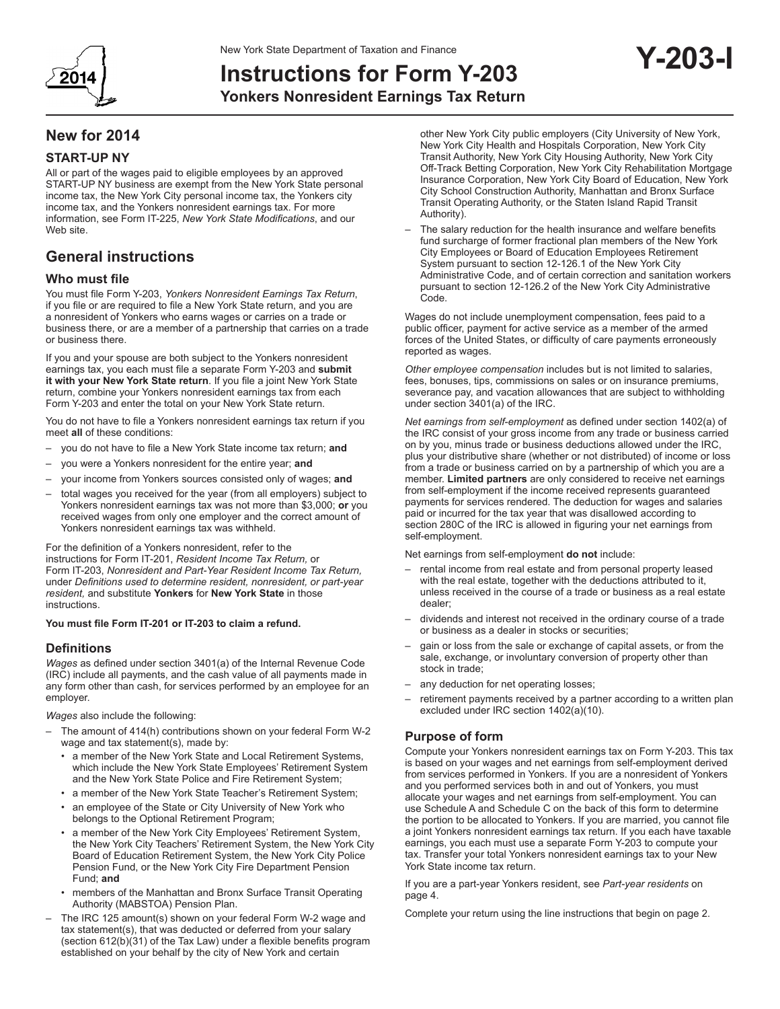

# **Instructions for Form Y-203**

**Yonkers Nonresident Earnings Tax Return**

# **New for 2014**

# **START-UP NY**

All or part of the wages paid to eligible employees by an approved START-UP NY business are exempt from the New York State personal income tax, the New York City personal income tax, the Yonkers city income tax, and the Yonkers nonresident earnings tax. For more information, see Form IT-225, *New York State Modifications*, and our Web site.

# **General instructions**

## **Who must file**

You must file Form Y-203, *Yonkers Nonresident Earnings Tax Return*, if you file or are required to file a New York State return, and you are a nonresident of Yonkers who earns wages or carries on a trade or business there, or are a member of a partnership that carries on a trade or business there.

If you and your spouse are both subject to the Yonkers nonresident earnings tax, you each must file a separate Form Y-203 and **submit it with your New York State return**. If you file a joint New York State return, combine your Yonkers nonresident earnings tax from each Form Y-203 and enter the total on your New York State return.

You do not have to file a Yonkers nonresident earnings tax return if you meet **all** of these conditions:

- you do not have to file a New York State income tax return; **and**
- you were a Yonkers nonresident for the entire year; **and**
- your income from Yonkers sources consisted only of wages; **and**
- total wages you received for the year (from all employers) subject to Yonkers nonresident earnings tax was not more than \$3,000; **or** you received wages from only one employer and the correct amount of Yonkers nonresident earnings tax was withheld.

For the definition of a Yonkers nonresident, refer to the instructions for Form IT-201, *Resident Income Tax Return,* or Form IT-203, *Nonresident and Part-Year Resident Income Tax Return,* under *Definitions used to determine resident, nonresident, or part-year resident,* and substitute **Yonkers** for **New York State** in those **instructions** 

#### **You must file Form IT-201 or IT-203 to claim a refund.**

## **Definitions**

*Wages* as defined under section 3401(a) of the Internal Revenue Code (IRC) include all payments, and the cash value of all payments made in any form other than cash, for services performed by an employee for an employer.

*Wages* also include the following:

- The amount of 414(h) contributions shown on your federal Form W-2 wage and tax statement(s), made by:
	- a member of the New York State and Local Retirement Systems, which include the New York State Employees' Retirement System and the New York State Police and Fire Retirement System;
	- a member of the New York State Teacher's Retirement System;
	- an employee of the State or City University of New York who belongs to the Optional Retirement Program;
	- a member of the New York City Employees' Retirement System, the New York City Teachers' Retirement System, the New York City Board of Education Retirement System, the New York City Police Pension Fund, or the New York City Fire Department Pension Fund; **and**
	- members of the Manhattan and Bronx Surface Transit Operating Authority (MABSTOA) Pension Plan.
- The IRC 125 amount(s) shown on your federal Form W-2 wage and tax statement(s), that was deducted or deferred from your salary (section 612(b)(31) of the Tax Law) under a flexible benefits program established on your behalf by the city of New York and certain

other New York City public employers (City University of New York, New York City Health and Hospitals Corporation, New York City Transit Authority, New York City Housing Authority, New York City Off-Track Betting Corporation, New York City Rehabilitation Mortgage Insurance Corporation, New York City Board of Education, New York City School Construction Authority, Manhattan and Bronx Surface Transit Operating Authority, or the Staten Island Rapid Transit Authority).

**Y-203-I**

The salary reduction for the health insurance and welfare benefits fund surcharge of former fractional plan members of the New York City Employees or Board of Education Employees Retirement System pursuant to section 12-126.1 of the New York City Administrative Code, and of certain correction and sanitation workers pursuant to section 12-126.2 of the New York City Administrative Code.

Wages do not include unemployment compensation, fees paid to a public officer, payment for active service as a member of the armed forces of the United States, or difficulty of care payments erroneously reported as wages.

*Other employee compensation* includes but is not limited to salaries, fees, bonuses, tips, commissions on sales or on insurance premiums, severance pay, and vacation allowances that are subject to withholding under section 3401(a) of the IRC.

*Net earnings from self-employment* as defined under section 1402(a) of the IRC consist of your gross income from any trade or business carried on by you, minus trade or business deductions allowed under the IRC, plus your distributive share (whether or not distributed) of income or loss from a trade or business carried on by a partnership of which you are a member. **Limited partners** are only considered to receive net earnings from self-employment if the income received represents guaranteed payments for services rendered. The deduction for wages and salaries paid or incurred for the tax year that was disallowed according to section 280C of the IRC is allowed in figuring your net earnings from self-employment.

Net earnings from self-employment **do not** include:

- rental income from real estate and from personal property leased with the real estate, together with the deductions attributed to it, unless received in the course of a trade or business as a real estate dealer;
- dividends and interest not received in the ordinary course of a trade or business as a dealer in stocks or securities;
- gain or loss from the sale or exchange of capital assets, or from the sale, exchange, or involuntary conversion of property other than stock in trade;
- any deduction for net operating losses;
- retirement payments received by a partner according to a written plan excluded under IRC section 1402(a)(10).

# **Purpose of form**

Compute your Yonkers nonresident earnings tax on Form Y-203. This tax is based on your wages and net earnings from self-employment derived from services performed in Yonkers. If you are a nonresident of Yonkers and you performed services both in and out of Yonkers, you must allocate your wages and net earnings from self-employment. You can use Schedule A and Schedule C on the back of this form to determine the portion to be allocated to Yonkers. If you are married, you cannot file a joint Yonkers nonresident earnings tax return. If you each have taxable earnings, you each must use a separate Form Y-203 to compute your tax. Transfer your total Yonkers nonresident earnings tax to your New York State income tax return.

If you are a part-year Yonkers resident, see *Part-year residents* on page 4.

Complete your return using the line instructions that begin on page 2.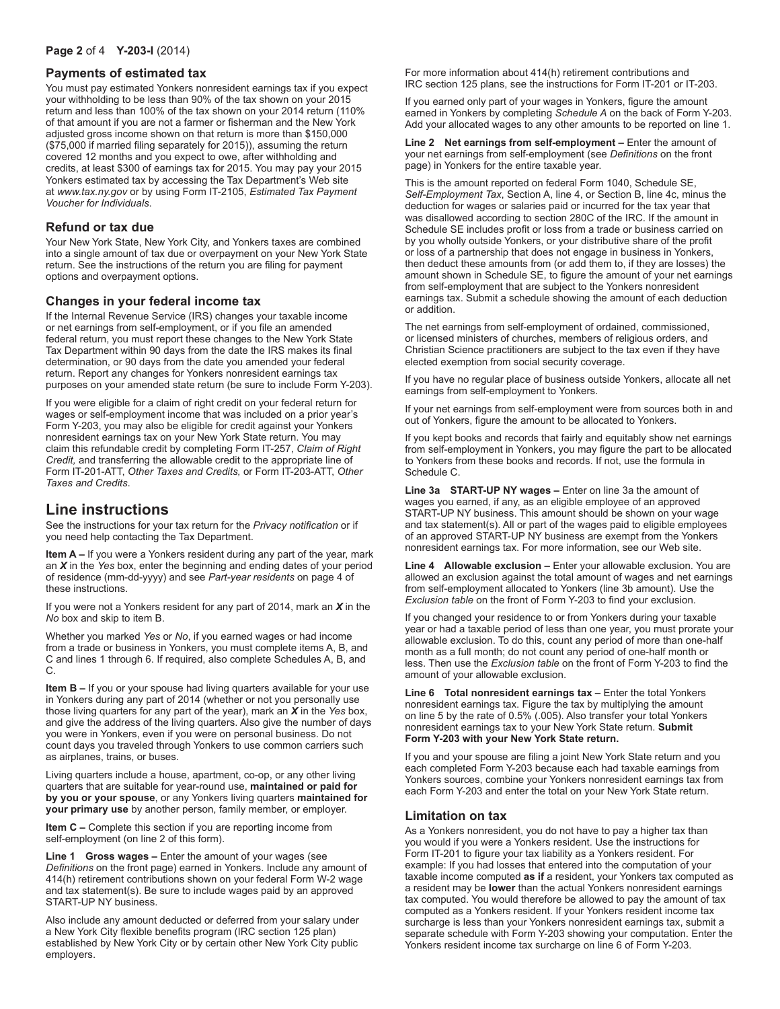#### **Page 2** of 4 **Y-203-I** (2014)

#### **Payments of estimated tax**

You must pay estimated Yonkers nonresident earnings tax if you expect your withholding to be less than 90% of the tax shown on your 2015 return and less than 100% of the tax shown on your 2014 return (110% of that amount if you are not a farmer or fisherman and the New York adjusted gross income shown on that return is more than \$150,000 (\$75,000 if married filing separately for 2015)), assuming the return covered 12 months and you expect to owe, after withholding and credits, at least \$300 of earnings tax for 2015. You may pay your 2015 Yonkers estimated tax by accessing the Tax Department's Web site at *www.tax.ny.gov* or by using Form IT-2105, *Estimated Tax Payment Voucher for Individuals*.

# **Refund or tax due**

Your New York State, New York City, and Yonkers taxes are combined into a single amount of tax due or overpayment on your New York State return. See the instructions of the return you are filing for payment options and overpayment options.

# **Changes in your federal income tax**

If the Internal Revenue Service (IRS) changes your taxable income or net earnings from self-employment, or if you file an amended federal return, you must report these changes to the New York State Tax Department within 90 days from the date the IRS makes its final determination, or 90 days from the date you amended your federal return. Report any changes for Yonkers nonresident earnings tax purposes on your amended state return (be sure to include Form Y-203).

If you were eligible for a claim of right credit on your federal return for wages or self-employment income that was included on a prior year's Form Y-203, you may also be eligible for credit against your Yonkers nonresident earnings tax on your New York State return. You may claim this refundable credit by completing Form IT-257, *Claim of Right Credit,* and transferring the allowable credit to the appropriate line of Form IT-201-ATT, *Other Taxes and Credits,* or Form IT-203-ATT, *Other Taxes and Credits*.

# **Line instructions**

See the instructions for your tax return for the *Privacy notification* or if you need help contacting the Tax Department.

**Item A –** If you were a Yonkers resident during any part of the year, mark an *X* in the *Yes* box, enter the beginning and ending dates of your period of residence (mm-dd-yyyy) and see *Part-year residents* on page 4 of these instructions.

If you were not a Yonkers resident for any part of 2014, mark an *X* in the *No* box and skip to item B.

Whether you marked *Yes* or *No*, if you earned wages or had income from a trade or business in Yonkers, you must complete items A, B, and C and lines 1 through 6. If required, also complete Schedules A, B, and C.

**Item B –** If you or your spouse had living quarters available for your use in Yonkers during any part of 2014 (whether or not you personally use those living quarters for any part of the year), mark an *X* in the *Yes* box, and give the address of the living quarters. Also give the number of days you were in Yonkers, even if you were on personal business. Do not count days you traveled through Yonkers to use common carriers such as airplanes, trains, or buses.

Living quarters include a house, apartment, co-op, or any other living quarters that are suitable for year-round use, **maintained or paid for by you or your spouse**, or any Yonkers living quarters **maintained for your primary use** by another person, family member, or employer.

**Item C –** Complete this section if you are reporting income from self-employment (on line 2 of this form).

**Line 1 Gross wages –** Enter the amount of your wages (see *Definitions* on the front page) earned in Yonkers. Include any amount of 414(h) retirement contributions shown on your federal Form W-2 wage and tax statement(s). Be sure to include wages paid by an approved START-UP NY business.

Also include any amount deducted or deferred from your salary under a New York City flexible benefits program (IRC section 125 plan) established by New York City or by certain other New York City public employers.

For more information about 414(h) retirement contributions and IRC section 125 plans, see the instructions for Form IT-201 or IT-203.

If you earned only part of your wages in Yonkers, figure the amount earned in Yonkers by completing *Schedule A* on the back of Form Y-203. Add your allocated wages to any other amounts to be reported on line 1.

**Line 2 Net earnings from self-employment –** Enter the amount of your net earnings from self-employment (see *Definitions* on the front page) in Yonkers for the entire taxable year.

This is the amount reported on federal Form 1040, Schedule SE, *Self-Employment Tax*, Section A, line 4, or Section B, line 4c, minus the deduction for wages or salaries paid or incurred for the tax year that was disallowed according to section 280C of the IRC. If the amount in Schedule SE includes profit or loss from a trade or business carried on by you wholly outside Yonkers, or your distributive share of the profit or loss of a partnership that does not engage in business in Yonkers, then deduct these amounts from (or add them to, if they are losses) the amount shown in Schedule SE, to figure the amount of your net earnings from self-employment that are subject to the Yonkers nonresident earnings tax. Submit a schedule showing the amount of each deduction or addition.

The net earnings from self-employment of ordained, commissioned, or licensed ministers of churches, members of religious orders, and Christian Science practitioners are subject to the tax even if they have elected exemption from social security coverage.

If you have no regular place of business outside Yonkers, allocate all net earnings from self-employment to Yonkers.

If your net earnings from self-employment were from sources both in and out of Yonkers, figure the amount to be allocated to Yonkers.

If you kept books and records that fairly and equitably show net earnings from self-employment in Yonkers, you may figure the part to be allocated to Yonkers from these books and records. If not, use the formula in Schedule C.

**Line 3a START-UP NY wages –** Enter on line 3a the amount of wages you earned, if any, as an eligible employee of an approved START-UP NY business. This amount should be shown on your wage and tax statement(s). All or part of the wages paid to eligible employees of an approved START-UP NY business are exempt from the Yonkers nonresident earnings tax. For more information, see our Web site.

**Line 4 Allowable exclusion –** Enter your allowable exclusion. You are allowed an exclusion against the total amount of wages and net earnings from self-employment allocated to Yonkers (line 3b amount). Use the *Exclusion table* on the front of Form Y-203 to find your exclusion.

If you changed your residence to or from Yonkers during your taxable year or had a taxable period of less than one year, you must prorate your allowable exclusion. To do this, count any period of more than one-half month as a full month; do not count any period of one-half month or less. Then use the *Exclusion table* on the front of Form Y-203 to find the amount of your allowable exclusion.

**Line 6 Total nonresident earnings tax – Enter the total Yonkers** nonresident earnings tax. Figure the tax by multiplying the amount on line 5 by the rate of 0.5% (.005). Also transfer your total Yonkers nonresident earnings tax to your New York State return. **Submit Form Y-203 with your New York State return.**

If you and your spouse are filing a joint New York State return and you each completed Form Y-203 because each had taxable earnings from Yonkers sources, combine your Yonkers nonresident earnings tax from each Form Y-203 and enter the total on your New York State return.

#### **Limitation on tax**

As a Yonkers nonresident, you do not have to pay a higher tax than you would if you were a Yonkers resident. Use the instructions for Form IT-201 to figure your tax liability as a Yonkers resident. For example: If you had losses that entered into the computation of your taxable income computed **as if** a resident, your Yonkers tax computed as a resident may be **lower** than the actual Yonkers nonresident earnings tax computed. You would therefore be allowed to pay the amount of tax computed as a Yonkers resident. If your Yonkers resident income tax surcharge is less than your Yonkers nonresident earnings tax, submit a separate schedule with Form Y-203 showing your computation. Enter the Yonkers resident income tax surcharge on line 6 of Form Y-203.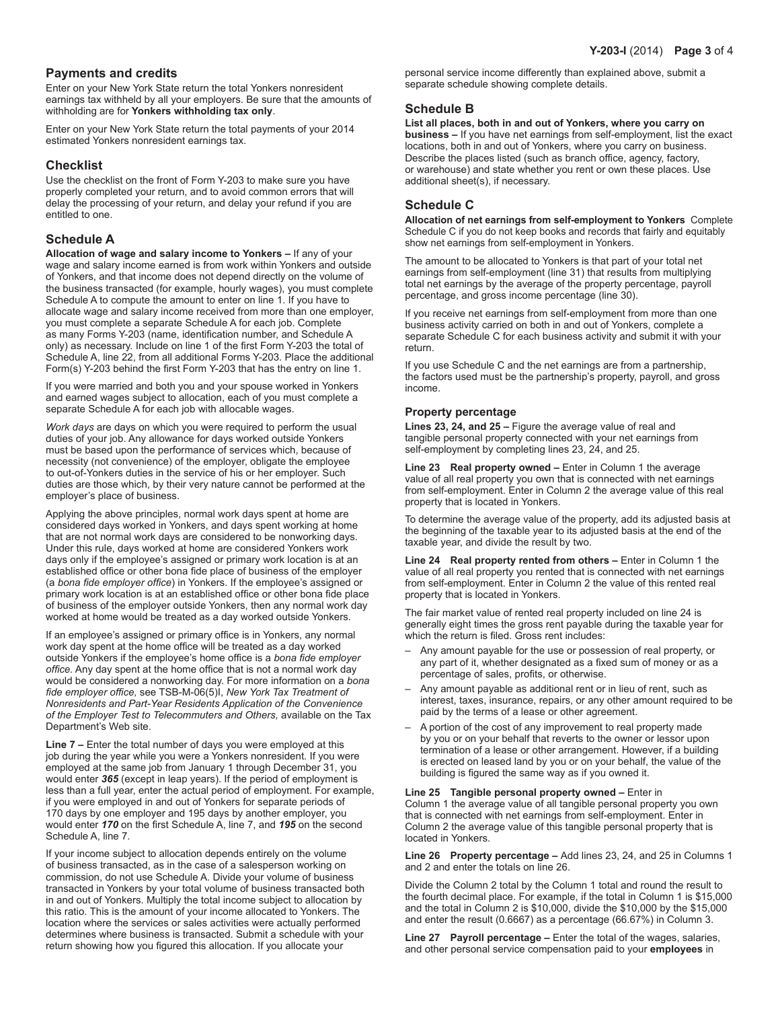# **Payments and credits**

Enter on your New York State return the total Yonkers nonresident earnings tax withheld by all your employers. Be sure that the amounts of withholding are for **Yonkers withholding tax only**.

Enter on your New York State return the total payments of your 2014 estimated Yonkers nonresident earnings tax.

# **Checklist**

Use the checklist on the front of Form Y-203 to make sure you have properly completed your return, and to avoid common errors that will delay the processing of your return, and delay your refund if you are entitled to one.

# **Schedule A**

**Allocation of wage and salary income to Yonkers –** If any of your wage and salary income earned is from work within Yonkers and outside of Yonkers, and that income does not depend directly on the volume of the business transacted (for example, hourly wages), you must complete Schedule A to compute the amount to enter on line 1. If you have to allocate wage and salary income received from more than one employer, you must complete a separate Schedule A for each job. Complete as many Forms Y-203 (name, identification number, and Schedule A only) as necessary. Include on line 1 of the first Form Y-203 the total of Schedule A, line 22, from all additional Forms Y-203. Place the additional Form(s) Y-203 behind the first Form Y-203 that has the entry on line 1.

If you were married and both you and your spouse worked in Yonkers and earned wages subject to allocation, each of you must complete a separate Schedule A for each job with allocable wages.

*Work days* are days on which you were required to perform the usual duties of your job. Any allowance for days worked outside Yonkers must be based upon the performance of services which, because of necessity (not convenience) of the employer, obligate the employee to out-of-Yonkers duties in the service of his or her employer. Such duties are those which, by their very nature cannot be performed at the employer's place of business.

Applying the above principles, normal work days spent at home are considered days worked in Yonkers, and days spent working at home that are not normal work days are considered to be nonworking days. Under this rule, days worked at home are considered Yonkers work days only if the employee's assigned or primary work location is at an established office or other bona fide place of business of the employer (a *bona fide employer office*) in Yonkers. If the employee's assigned or primary work location is at an established office or other bona fide place of business of the employer outside Yonkers, then any normal work day worked at home would be treated as a day worked outside Yonkers.

If an employee's assigned or primary office is in Yonkers, any normal work day spent at the home office will be treated as a day worked outside Yonkers if the employee's home office is a *bona fide employer office.* Any day spent at the home office that is not a normal work day would be considered a nonworking day. For more information on a *bona fide employer office,* see TSB-M-06(5)I, *New York Tax Treatment of Nonresidents and Part-Year Residents Application of the Convenience of the Employer Test to Telecommuters and Others,* available on the Tax Department's Web site.

**Line 7 –** Enter the total number of days you were employed at this job during the year while you were a Yonkers nonresident. If you were employed at the same job from January 1 through December 31, you would enter *365* (except in leap years). If the period of employment is less than a full year, enter the actual period of employment. For example, if you were employed in and out of Yonkers for separate periods of 170 days by one employer and 195 days by another employer, you would enter *170* on the first Schedule A, line 7, and *195* on the second Schedule A, line 7.

If your income subject to allocation depends entirely on the volume of business transacted, as in the case of a salesperson working on commission, do not use Schedule A. Divide your volume of business transacted in Yonkers by your total volume of business transacted both in and out of Yonkers. Multiply the total income subject to allocation by this ratio. This is the amount of your income allocated to Yonkers. The location where the services or sales activities were actually performed determines where business is transacted. Submit a schedule with your return showing how you figured this allocation. If you allocate your

personal service income differently than explained above, submit a separate schedule showing complete details.

# **Schedule B**

**List all places, both in and out of Yonkers, where you carry on business –** If you have net earnings from self-employment, list the exact locations, both in and out of Yonkers, where you carry on business. Describe the places listed (such as branch office, agency, factory, or warehouse) and state whether you rent or own these places. Use additional sheet(s), if necessary.

# **Schedule C**

**Allocation of net earnings from self-employment to Yonkers** Complete Schedule C if you do not keep books and records that fairly and equitably show net earnings from self-employment in Yonkers.

The amount to be allocated to Yonkers is that part of your total net earnings from self-employment (line 31) that results from multiplying total net earnings by the average of the property percentage, payroll percentage, and gross income percentage (line 30).

If you receive net earnings from self-employment from more than one business activity carried on both in and out of Yonkers, complete a separate Schedule C for each business activity and submit it with your return.

If you use Schedule C and the net earnings are from a partnership, the factors used must be the partnership's property, payroll, and gross income.

#### **Property percentage**

**Lines 23, 24, and 25 –** Figure the average value of real and tangible personal property connected with your net earnings from self-employment by completing lines 23, 24, and 25.

**Line 23 Real property owned –** Enter in Column 1 the average value of all real property you own that is connected with net earnings from self-employment. Enter in Column 2 the average value of this real property that is located in Yonkers.

To determine the average value of the property, add its adjusted basis at the beginning of the taxable year to its adjusted basis at the end of the taxable year, and divide the result by two.

**Line 24 Real property rented from others – Enter in Column 1 the** value of all real property you rented that is connected with net earnings from self-employment. Enter in Column 2 the value of this rented real property that is located in Yonkers.

The fair market value of rented real property included on line 24 is generally eight times the gross rent payable during the taxable year for which the return is filed. Gross rent includes:

- Any amount payable for the use or possession of real property, or any part of it, whether designated as a fixed sum of money or as a percentage of sales, profits, or otherwise.
- Any amount payable as additional rent or in lieu of rent, such as interest, taxes, insurance, repairs, or any other amount required to be paid by the terms of a lease or other agreement.
- A portion of the cost of any improvement to real property made by you or on your behalf that reverts to the owner or lessor upon termination of a lease or other arrangement. However, if a building is erected on leased land by you or on your behalf, the value of the building is figured the same way as if you owned it.

#### **Line 25 Tangible personal property owned –** Enter in Column 1 the average value of all tangible personal property you own that is connected with net earnings from self-employment. Enter in Column 2 the average value of this tangible personal property that is located in Yonkers.

**Line 26 Property percentage –** Add lines 23, 24, and 25 in Columns 1 and 2 and enter the totals on line 26.

Divide the Column 2 total by the Column 1 total and round the result to the fourth decimal place. For example, if the total in Column 1 is \$15,000 and the total in Column 2 is \$10,000, divide the \$10,000 by the \$15,000 and enter the result (0.6667) as a percentage (66.67%) in Column 3.

**Line 27 Payroll percentage –** Enter the total of the wages, salaries, and other personal service compensation paid to your **employees** in